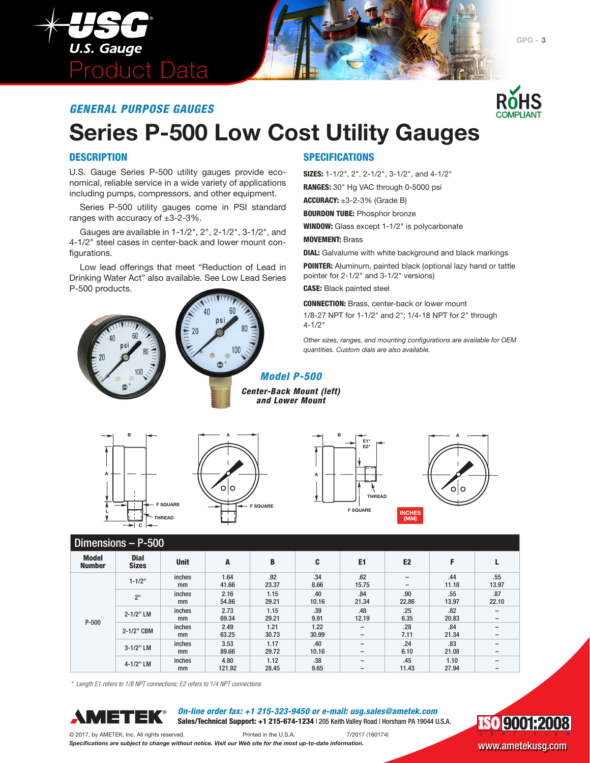

### *GENERAL PURPOSE GAUGES*



## **Series P-500 Low Cost Utility Gauges**

#### **DESCRIPTION**

U.S. Gauge Series P-500 utility gauges provide economical, reliable service in a wide variety of applications including pumps, compressors, and other equipment.

Series P-500 utility gauges come in PSI standard ranges with accuracy of ±3-2-3%.

Gauges are available in 1-1/2", 2", 2-1/2", 3-1/2", and 4-1/2" steel cases in center-back and lower mount configurations.

Low lead offerings that meet "Reduction of Lead in Drinking Water Act" also available. See Low Lead Series P-500 products.





#### **SPECIFICATIONS**

SIZES: 1-1/2", 2", 2-1/2", 3-1/2", and 4-1/2"

RANGES: 30" Hg VAC through 0-5000 psi

ACCURACY:  $\pm 3$ -2-3% (Grade B)

**BOURDON TUBE: Phosphor bronze** 

WINDOW: Glass except 1-1/2" is polycarbonate

MOVEMENT: Brass

DIAL: Galvalume with white background and black markings

POINTER: Aluminum, painted black (optional lazy hand or tattle pointer for 2-1/2" and 3-1/2" versions)

CASE: Black painted steel

CONNECTION: Brass, center-back or lower mount 1/8-27 NPT for 1-1/2" and 2"; 1/4-18 NPT for 2" through 4-1/2"

*Other sizes, ranges, and mounting configurations are available for OEM quantities. Custom dials are also available.*

# **B THREAD**

**C**

**A**

**L**







|                               | Dimensions - P-500          |              |                |               |                                                                                         |                                                      |                                                      |               |              |  |  |  |
|-------------------------------|-----------------------------|--------------|----------------|---------------|-----------------------------------------------------------------------------------------|------------------------------------------------------|------------------------------------------------------|---------------|--------------|--|--|--|
| <b>Model</b><br><b>Number</b> | <b>Dial</b><br><b>Sizes</b> | <b>Unit</b>  | A              | B             | C                                                                                       | E <sub>1</sub>                                       | E <sub>2</sub>                                       | F             |              |  |  |  |
|                               | $1 - 1/2$ "                 | inches<br>mm | 1.64<br>41.66  | .92<br>23.37  | .34<br>8.66                                                                             | .62<br>15.75                                         | $\overline{\phantom{0}}$<br>$\overline{\phantom{0}}$ | .44<br>11.18  | .55<br>13.97 |  |  |  |
|                               | 2 <sup>11</sup>             | inches<br>mm | 2.16<br>54.86  | 1.15<br>29.21 | .40<br>10.16                                                                            | .84<br>21.34                                         | .90<br>22.86                                         | .55<br>13.97  | .87<br>22.10 |  |  |  |
| $P-500$                       | 2-1/2" LM                   | inches<br>mm | 2.73<br>69.34  | 1.15<br>29.21 | .39<br>9.91                                                                             | .48<br>12.19                                         | .25<br>6.35                                          | .82<br>20.83  |              |  |  |  |
|                               | 2-1/2" CBM                  | inches<br>mm | 2.49<br>63.25  | 1.21<br>30.73 | 1.22<br>30.99                                                                           | $\overline{\phantom{0}}$<br>$\overline{\phantom{0}}$ | .28<br>7.11                                          | .84<br>21.34  | -            |  |  |  |
|                               | 3-1/2" LM                   | inches<br>mm | 3.53<br>89.66  | 1.17<br>29.72 | .24<br>.40<br>$\overline{\phantom{0}}$<br>6.10<br>10.16<br>$\qquad \qquad \blacksquare$ |                                                      | .83<br>21.08                                         | -<br>-        |              |  |  |  |
|                               | 4-1/2" LM                   | inches<br>mm | 4.80<br>121.92 | 1.12<br>28.45 | .38<br>9.65                                                                             | $\overline{\phantom{0}}$<br>$\qquad \qquad$          | .45<br>11.43                                         | 1.10<br>27.94 |              |  |  |  |

*Center-Back Mount (left) and Lower Mount*

*\* Length E1 refers to 1/8 NPT connections; E2 refers to 1/4 NPT connections*



*On-line order fax: +1 215-323-9450 or e-mail: usg.sales@ametek.com* Sales/Technical Support: +1 215-674-1234 | 205 Keith Valley Road | Horsham PA 19044 U.S.A.

**ISO 9001:2008** 

© 2017, by AMETEK, Inc. All rights reserved. Printed in the U.S.A. 7/2017 (160174) *Specifications are subject to change without notice. Visit our Web site for the most up-to-date information.* WWW.ametekusg.com